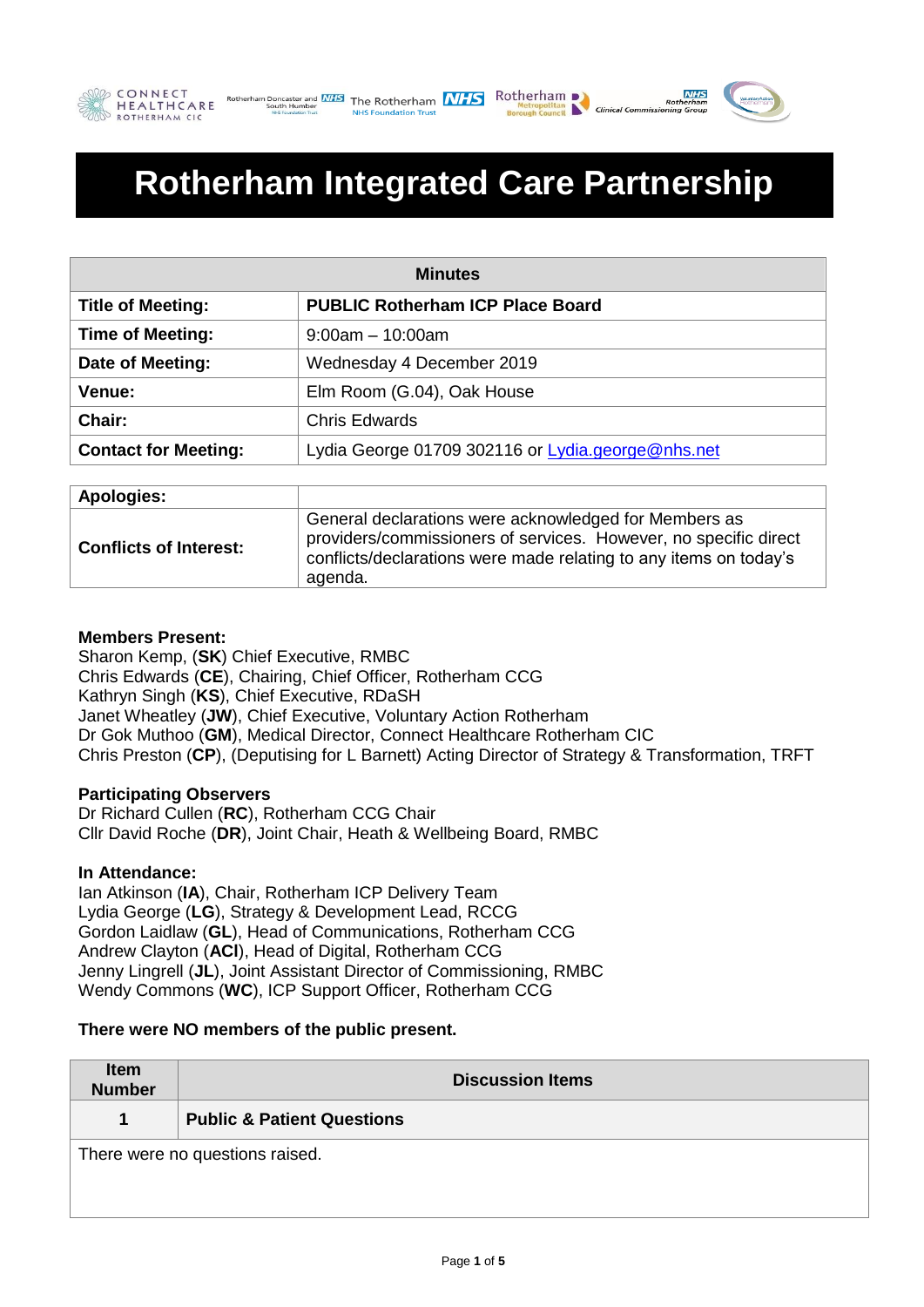





# **Rotherham Integrated Care Partnership**

| <b>Minutes</b>              |                                                   |  |
|-----------------------------|---------------------------------------------------|--|
| <b>Title of Meeting:</b>    | <b>PUBLIC Rotherham ICP Place Board</b>           |  |
| <b>Time of Meeting:</b>     | $9:00am - 10:00am$                                |  |
| Date of Meeting:            | Wednesday 4 December 2019                         |  |
| <b>Venue:</b>               | Elm Room (G.04), Oak House                        |  |
| Chair:                      | <b>Chris Edwards</b>                              |  |
| <b>Contact for Meeting:</b> | Lydia George 01709 302116 or Lydia.george@nhs.net |  |

| Apologies:                    |                                                                                                                                                                                                           |
|-------------------------------|-----------------------------------------------------------------------------------------------------------------------------------------------------------------------------------------------------------|
| <b>Conflicts of Interest:</b> | General declarations were acknowledged for Members as<br>providers/commissioners of services. However, no specific direct<br>conflicts/declarations were made relating to any items on today's<br>agenda. |

# **Members Present:**

Sharon Kemp, (**SK**) Chief Executive, RMBC Chris Edwards (**CE**), Chairing, Chief Officer, Rotherham CCG Kathryn Singh (**KS**), Chief Executive, RDaSH Janet Wheatley (**JW**), Chief Executive, Voluntary Action Rotherham Dr Gok Muthoo (**GM**), Medical Director, Connect Healthcare Rotherham CIC Chris Preston (**CP**), (Deputising for L Barnett) Acting Director of Strategy & Transformation, TRFT

## **Participating Observers**

Dr Richard Cullen (**RC**), Rotherham CCG Chair Cllr David Roche (**DR**), Joint Chair, Heath & Wellbeing Board, RMBC

## **In Attendance:**

Ian Atkinson (**IA**), Chair, Rotherham ICP Delivery Team Lydia George (**LG**), Strategy & Development Lead, RCCG Gordon Laidlaw (**GL**), Head of Communications, Rotherham CCG Andrew Clayton (**ACl**), Head of Digital, Rotherham CCG Jenny Lingrell (**JL**), Joint Assistant Director of Commissioning, RMBC Wendy Commons (**WC**), ICP Support Officer, Rotherham CCG

## **There were NO members of the public present.**

| <b>Item</b><br><b>Number</b>    | <b>Discussion Items</b>               |
|---------------------------------|---------------------------------------|
| 1                               | <b>Public &amp; Patient Questions</b> |
| There were no questions raised. |                                       |
|                                 |                                       |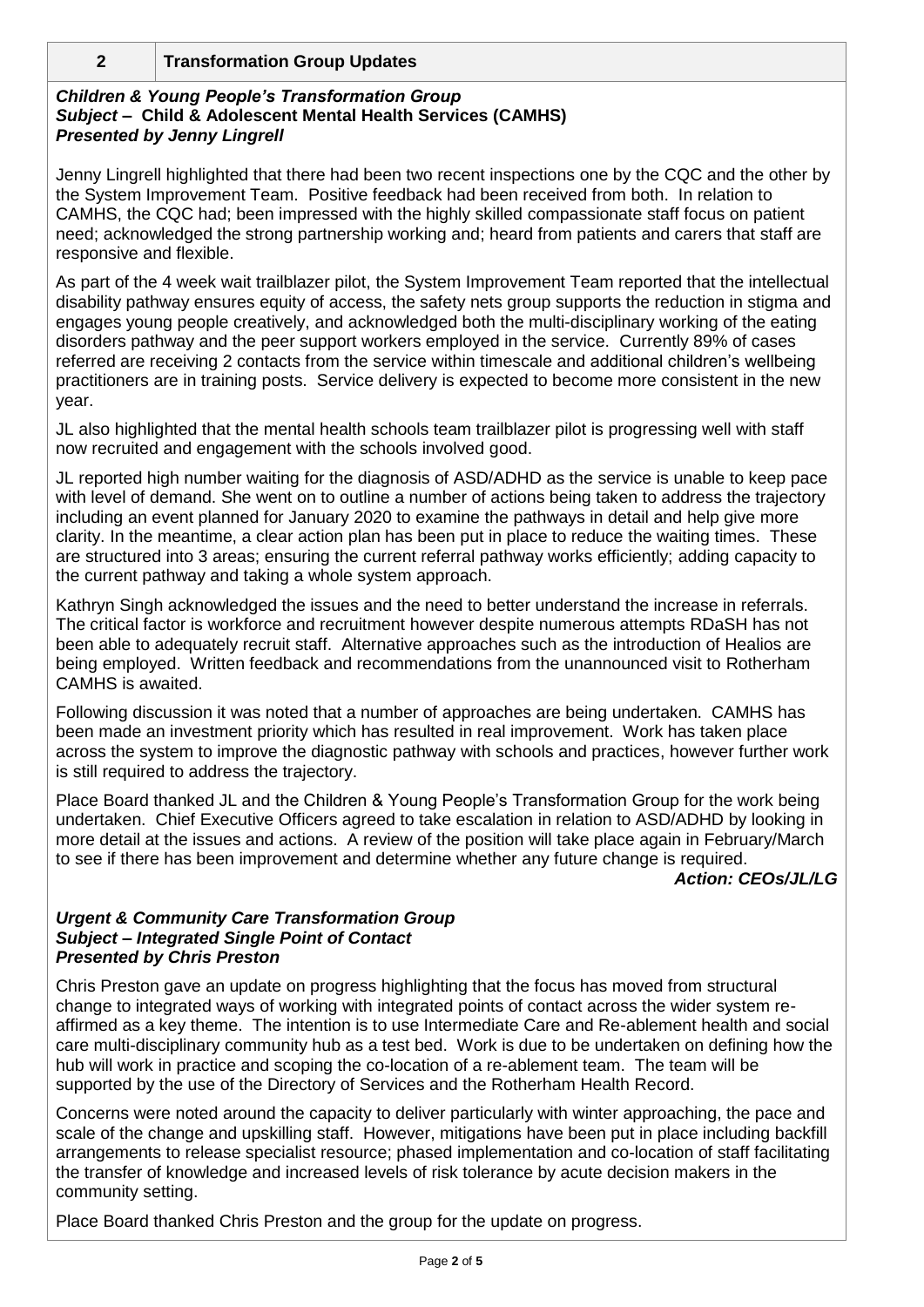# **2 Transformation Group Updates**

## *Children & Young People's Transformation Group Subject –* **Child & Adolescent Mental Health Services (CAMHS)** *Presented by Jenny Lingrell*

Jenny Lingrell highlighted that there had been two recent inspections one by the CQC and the other by the System Improvement Team. Positive feedback had been received from both. In relation to CAMHS, the CQC had; been impressed with the highly skilled compassionate staff focus on patient need; acknowledged the strong partnership working and; heard from patients and carers that staff are responsive and flexible.

As part of the 4 week wait trailblazer pilot, the System Improvement Team reported that the intellectual disability pathway ensures equity of access, the safety nets group supports the reduction in stigma and engages young people creatively, and acknowledged both the multi-disciplinary working of the eating disorders pathway and the peer support workers employed in the service. Currently 89% of cases referred are receiving 2 contacts from the service within timescale and additional children's wellbeing practitioners are in training posts. Service delivery is expected to become more consistent in the new year.

JL also highlighted that the mental health schools team trailblazer pilot is progressing well with staff now recruited and engagement with the schools involved good.

JL reported high number waiting for the diagnosis of ASD/ADHD as the service is unable to keep pace with level of demand. She went on to outline a number of actions being taken to address the trajectory including an event planned for January 2020 to examine the pathways in detail and help give more clarity. In the meantime, a clear action plan has been put in place to reduce the waiting times. These are structured into 3 areas; ensuring the current referral pathway works efficiently; adding capacity to the current pathway and taking a whole system approach.

Kathryn Singh acknowledged the issues and the need to better understand the increase in referrals. The critical factor is workforce and recruitment however despite numerous attempts RDaSH has not been able to adequately recruit staff. Alternative approaches such as the introduction of Healios are being employed. Written feedback and recommendations from the unannounced visit to Rotherham CAMHS is awaited.

Following discussion it was noted that a number of approaches are being undertaken. CAMHS has been made an investment priority which has resulted in real improvement. Work has taken place across the system to improve the diagnostic pathway with schools and practices, however further work is still required to address the trajectory.

Place Board thanked JL and the Children & Young People's Transformation Group for the work being undertaken. Chief Executive Officers agreed to take escalation in relation to ASD/ADHD by looking in more detail at the issues and actions. A review of the position will take place again in February/March to see if there has been improvement and determine whether any future change is required.

## *Action: CEOs/JL/LG*

#### *Urgent & Community Care Transformation Group Subject – Integrated Single Point of Contact Presented by Chris Preston*

Chris Preston gave an update on progress highlighting that the focus has moved from structural change to integrated ways of working with integrated points of contact across the wider system reaffirmed as a key theme. The intention is to use Intermediate Care and Re-ablement health and social care multi-disciplinary community hub as a test bed. Work is due to be undertaken on defining how the hub will work in practice and scoping the co-location of a re-ablement team. The team will be supported by the use of the Directory of Services and the Rotherham Health Record.

Concerns were noted around the capacity to deliver particularly with winter approaching, the pace and scale of the change and upskilling staff. However, mitigations have been put in place including backfill arrangements to release specialist resource; phased implementation and co-location of staff facilitating the transfer of knowledge and increased levels of risk tolerance by acute decision makers in the community setting.

Place Board thanked Chris Preston and the group for the update on progress.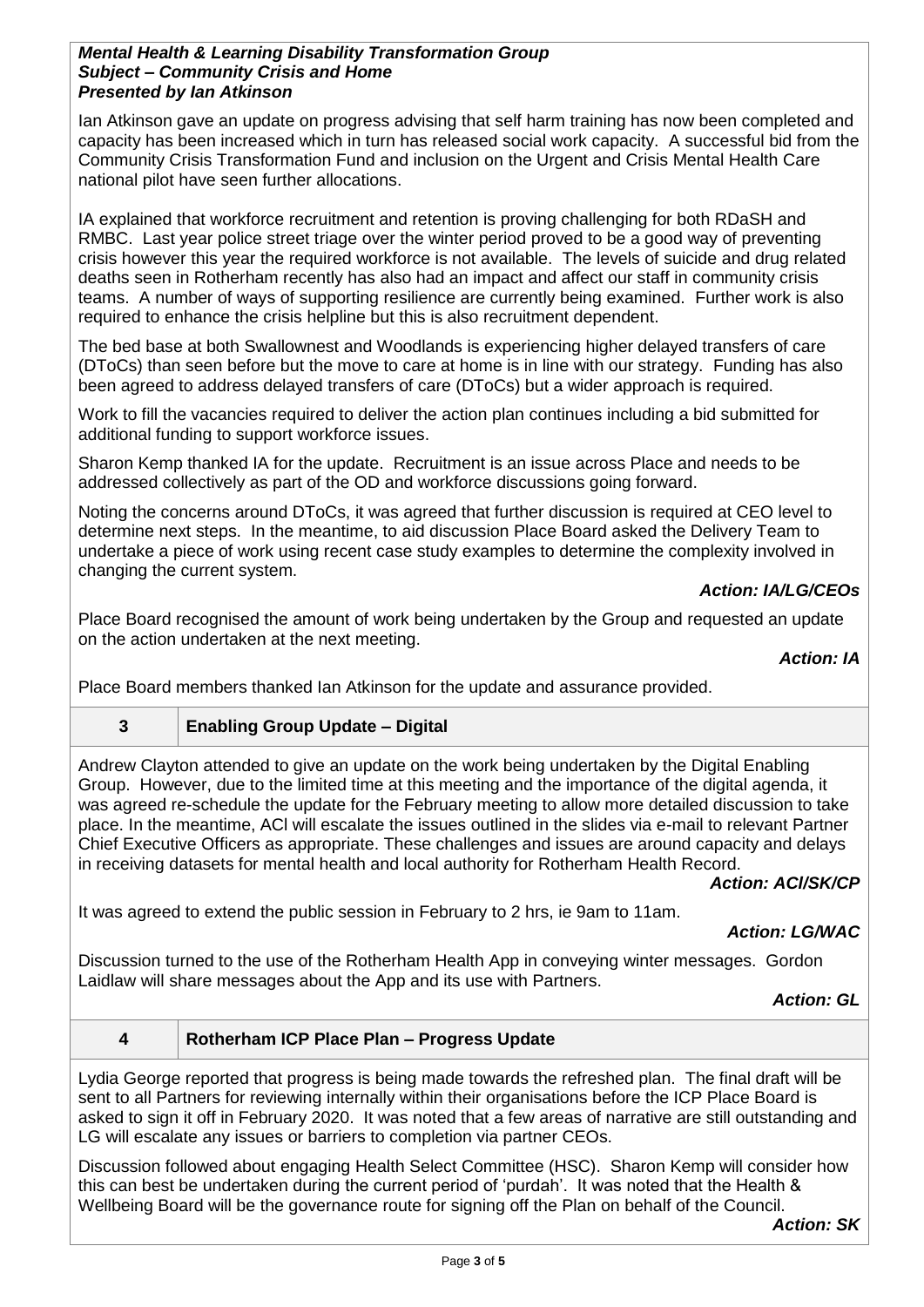## *Mental Health & Learning Disability Transformation Group Subject – Community Crisis and Home Presented by Ian Atkinson*

Ian Atkinson gave an update on progress advising that self harm training has now been completed and capacity has been increased which in turn has released social work capacity. A successful bid from the Community Crisis Transformation Fund and inclusion on the Urgent and Crisis Mental Health Care national pilot have seen further allocations.

IA explained that workforce recruitment and retention is proving challenging for both RDaSH and RMBC. Last year police street triage over the winter period proved to be a good way of preventing crisis however this year the required workforce is not available. The levels of suicide and drug related deaths seen in Rotherham recently has also had an impact and affect our staff in community crisis teams. A number of ways of supporting resilience are currently being examined. Further work is also required to enhance the crisis helpline but this is also recruitment dependent.

The bed base at both Swallownest and Woodlands is experiencing higher delayed transfers of care (DToCs) than seen before but the move to care at home is in line with our strategy. Funding has also been agreed to address delayed transfers of care (DToCs) but a wider approach is required.

Work to fill the vacancies required to deliver the action plan continues including a bid submitted for additional funding to support workforce issues.

Sharon Kemp thanked IA for the update. Recruitment is an issue across Place and needs to be addressed collectively as part of the OD and workforce discussions going forward.

Noting the concerns around DToCs, it was agreed that further discussion is required at CEO level to determine next steps. In the meantime, to aid discussion Place Board asked the Delivery Team to undertake a piece of work using recent case study examples to determine the complexity involved in changing the current system.

# *Action: IA/LG/CEOs*

Place Board recognised the amount of work being undertaken by the Group and requested an update on the action undertaken at the next meeting.

## *Action: IA*

Place Board members thanked Ian Atkinson for the update and assurance provided.

# **3 Enabling Group Update – Digital**

Andrew Clayton attended to give an update on the work being undertaken by the Digital Enabling Group. However, due to the limited time at this meeting and the importance of the digital agenda, it was agreed re-schedule the update for the February meeting to allow more detailed discussion to take place. In the meantime, ACl will escalate the issues outlined in the slides via e-mail to relevant Partner Chief Executive Officers as appropriate. These challenges and issues are around capacity and delays in receiving datasets for mental health and local authority for Rotherham Health Record.

## *Action: ACl/SK/CP*

It was agreed to extend the public session in February to 2 hrs, ie 9am to 11am.

*Action: LG/WAC*

Discussion turned to the use of the Rotherham Health App in conveying winter messages. Gordon Laidlaw will share messages about the App and its use with Partners.

*Action: GL*

#### **4 Rotherham ICP Place Plan – Progress Update**

Lydia George reported that progress is being made towards the refreshed plan. The final draft will be sent to all Partners for reviewing internally within their organisations before the ICP Place Board is asked to sign it off in February 2020. It was noted that a few areas of narrative are still outstanding and LG will escalate any issues or barriers to completion via partner CEOs.

Discussion followed about engaging Health Select Committee (HSC). Sharon Kemp will consider how this can best be undertaken during the current period of 'purdah'. It was noted that the Health & Wellbeing Board will be the governance route for signing off the Plan on behalf of the Council.

*Action: SK*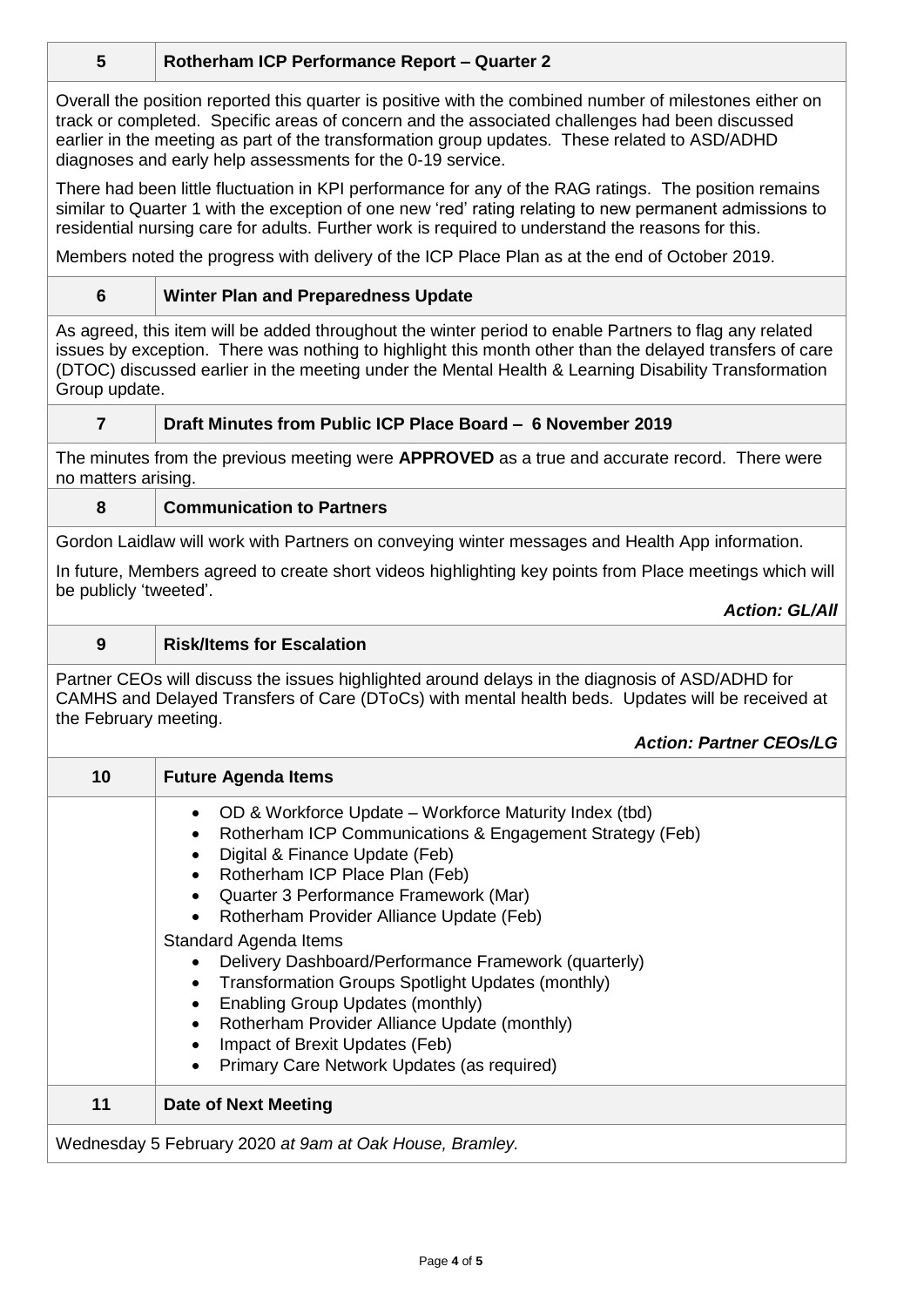# **5 Rotherham ICP Performance Report – Quarter 2**

Overall the position reported this quarter is positive with the combined number of milestones either on track or completed. Specific areas of concern and the associated challenges had been discussed earlier in the meeting as part of the transformation group updates. These related to ASD/ADHD diagnoses and early help assessments for the 0-19 service.

There had been little fluctuation in KPI performance for any of the RAG ratings. The position remains similar to Quarter 1 with the exception of one new 'red' rating relating to new permanent admissions to residential nursing care for adults. Further work is required to understand the reasons for this.

Members noted the progress with delivery of the ICP Place Plan as at the end of October 2019.

## **6 Winter Plan and Preparedness Update**

As agreed, this item will be added throughout the winter period to enable Partners to flag any related issues by exception. There was nothing to highlight this month other than the delayed transfers of care (DTOC) discussed earlier in the meeting under the Mental Health & Learning Disability Transformation Group update.

## **7 Draft Minutes from Public ICP Place Board – 6 November 2019**

The minutes from the previous meeting were **APPROVED** as a true and accurate record. There were no matters arising.

## **8 Communication to Partners**

Gordon Laidlaw will work with Partners on conveying winter messages and Health App information.

In future, Members agreed to create short videos highlighting key points from Place meetings which will be publicly 'tweeted'.

*Action: GL/All*

## **9 Risk/Items for Escalation**

Partner CEOs will discuss the issues highlighted around delays in the diagnosis of ASD/ADHD for CAMHS and Delayed Transfers of Care (DToCs) with mental health beds. Updates will be received at the February meeting.

#### *Action: Partner CEOs/LG*

| 10                                                      | <b>Future Agenda Items</b>                                                                                                                                                                                                                                                                             |  |
|---------------------------------------------------------|--------------------------------------------------------------------------------------------------------------------------------------------------------------------------------------------------------------------------------------------------------------------------------------------------------|--|
|                                                         | • OD & Workforce Update – Workforce Maturity Index (tbd)<br>Rotherham ICP Communications & Engagement Strategy (Feb)<br>Digital & Finance Update (Feb)<br>Rotherham ICP Place Plan (Feb)<br>Quarter 3 Performance Framework (Mar)<br>Rotherham Provider Alliance Update (Feb)                          |  |
|                                                         | Standard Agenda Items<br>Delivery Dashboard/Performance Framework (quarterly)<br>Transformation Groups Spotlight Updates (monthly)<br>Enabling Group Updates (monthly)<br>Rotherham Provider Alliance Update (monthly)<br>Impact of Brexit Updates (Feb)<br>Primary Care Network Updates (as required) |  |
| 11                                                      | Date of Next Meeting                                                                                                                                                                                                                                                                                   |  |
| Wednesday 5 February 2020 at 9am at Oak House, Bramley. |                                                                                                                                                                                                                                                                                                        |  |